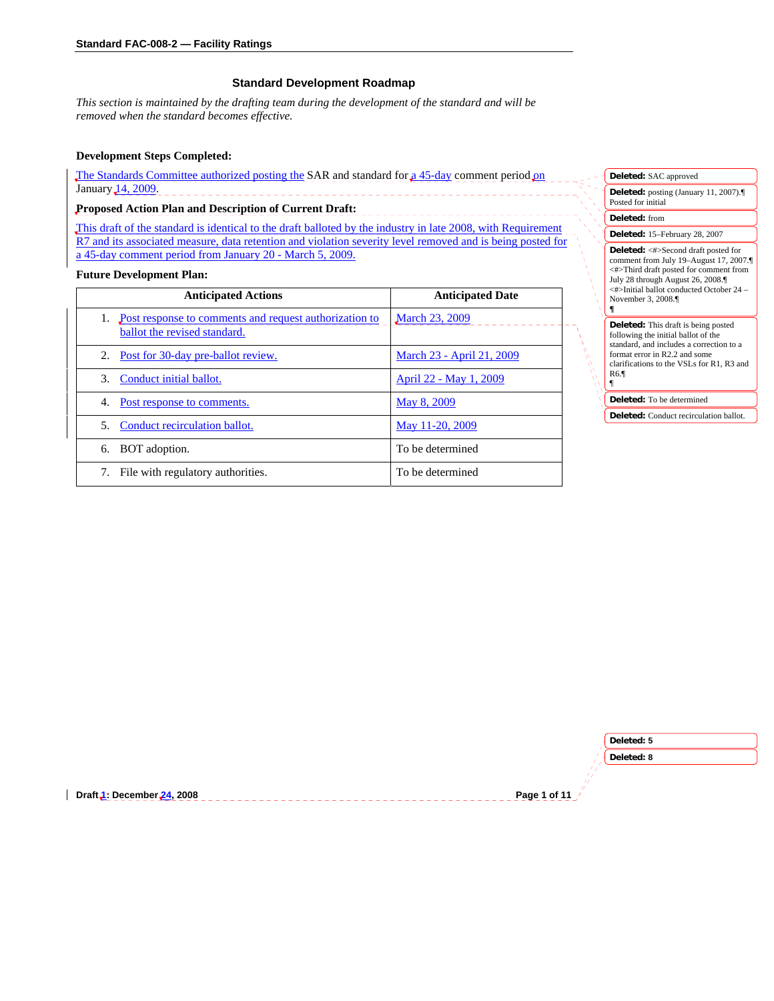## **Standard Development Roadmap**

*This section is maintained by the drafting team during the development of the standard and will be removed when the standard becomes effective.* 

### **Development Steps Completed:**

The Standards Committee authorized posting the SAR and standard for a 45-day comment period on January 14, 2009. <u>\_\_\_\_\_\_\_\_\_\_\_\_\_\_\_\_</u>

# **Proposed Action Plan and Description of Current Draft:**

This draft of the standard is identical to the draft balloted by the industry in late 2008, with Requirement R7 and its associated measure, data retention and violation severity level removed and is being posted for a 45-day comment period from January 20 - March 5, 2009.

\_\_\_\_\_\_\_\_\_\_\_\_\_

#### **Future Development Plan:**

| <b>Anticipated Actions</b>                                                             | <b>Anticipated Date</b>   |
|----------------------------------------------------------------------------------------|---------------------------|
| Post response to comments and request authorization to<br>ballot the revised standard. | <b>March 23, 2009</b>     |
| Post for 30-day pre-ballot review.<br>2.                                               | March 23 - April 21, 2009 |
| Conduct initial ballot.<br>3.                                                          | April 22 - May 1, 2009    |
| Post response to comments.<br>4.                                                       | May 8, 2009               |
| Conduct recirculation ballot.<br>5.                                                    | May 11-20, 2009           |
| BOT adoption.<br>6.                                                                    | To be determined          |
| File with regulatory authorities.                                                      | To be determined          |

| Deleted: SAC approved                                                                                                                                                                                                                   |  |
|-----------------------------------------------------------------------------------------------------------------------------------------------------------------------------------------------------------------------------------------|--|
| Deleted: posting (January 11, 2007).<br>Posted for initial                                                                                                                                                                              |  |
| <b>Deleted:</b> from                                                                                                                                                                                                                    |  |
| Deleted: 15-February 28, 2007                                                                                                                                                                                                           |  |
| <b>Deleted:</b> <#>Second draft posted for<br>comment from July 19-August 17, 2007.<br><#>Third draft posted for comment from<br>July 28 through August 26, 2008.<br><#>Initial ballot conducted October 24 –<br>November 3, 2008.<br>¶ |  |
| <b>Deleted:</b> This draft is being posted<br>following the initial ballot of the<br>standard, and includes a correction to a<br>format error in R2.2 and some<br>clarifications to the VSLs for R1, R3 and<br>R6.<br>ſ                 |  |
| Deleted: To be determined                                                                                                                                                                                                               |  |
| <b>Deleted:</b> Conduct recirculation ballot.                                                                                                                                                                                           |  |

|                            | Deleted: 5   |
|----------------------------|--------------|
|                            | Deleted: 8   |
|                            |              |
| Draft 1: December 24, 2008 | Page 1 of 11 |
|                            |              |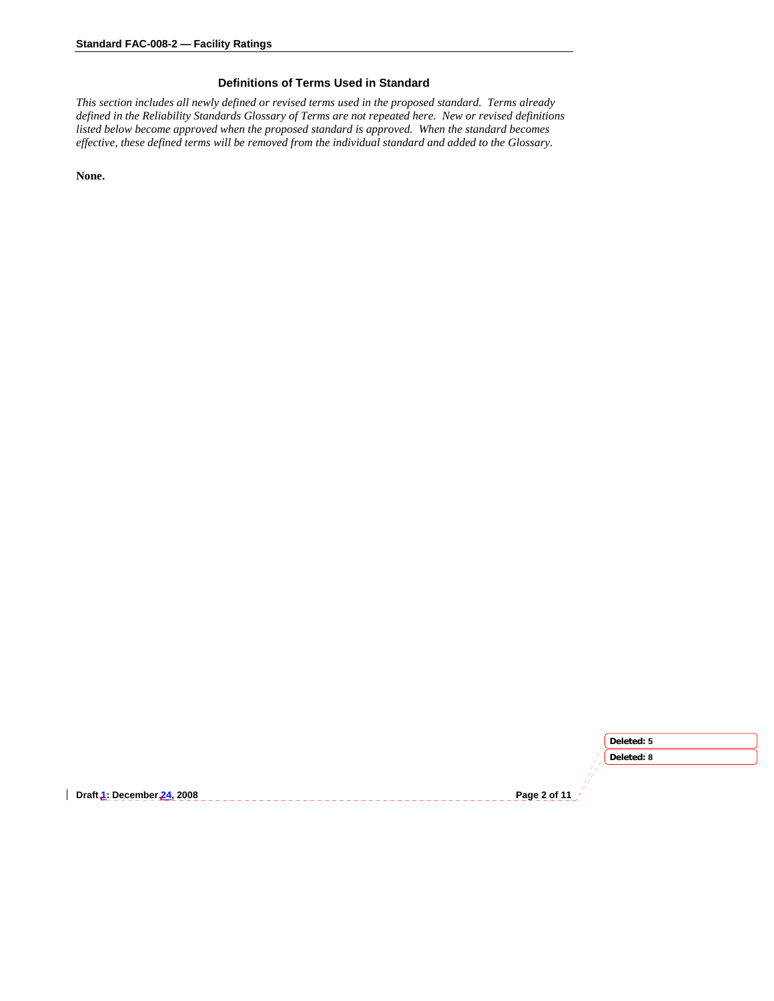## **Definitions of Terms Used in Standard**

*This section includes all newly defined or revised terms used in the proposed standard. Terms already defined in the Reliability Standards Glossary of Terms are not repeated here. New or revised definitions listed below become approved when the proposed standard is approved. When the standard becomes effective, these defined terms will be removed from the individual standard and added to the Glossary.* 

**None.** 

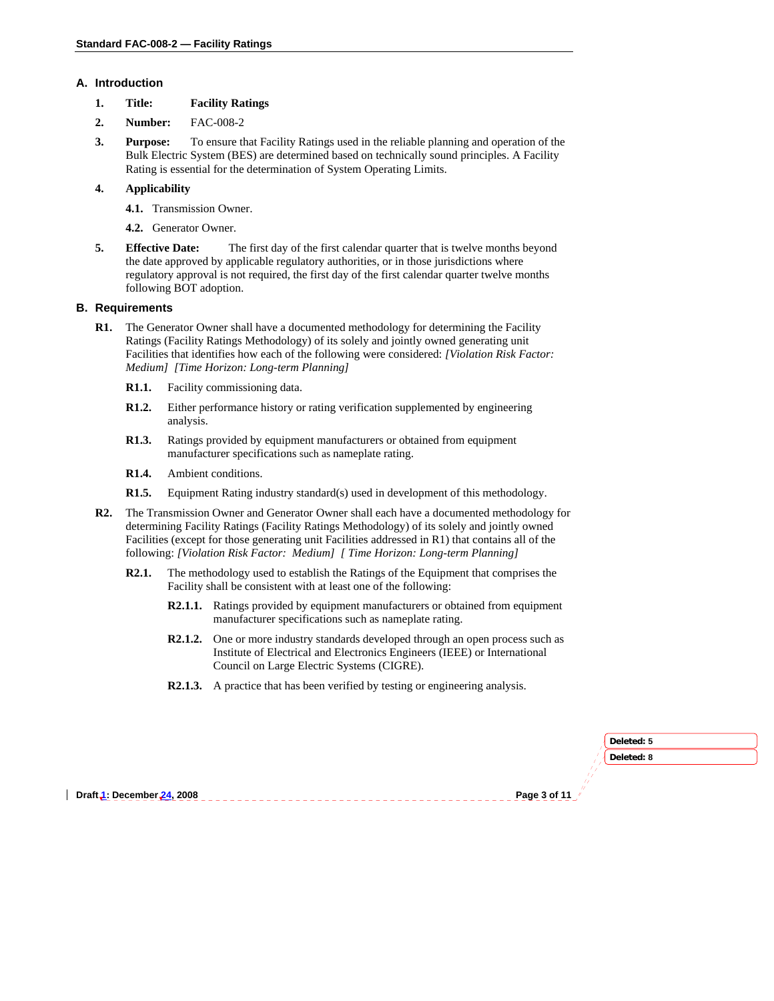### **A. Introduction**

- **1. Title: Facility Ratings**
- **2. Number:** FAC-008-2
- **3. Purpose:** To ensure that Facility Ratings used in the reliable planning and operation of the Bulk Electric System (BES) are determined based on technically sound principles. A Facility Rating is essential for the determination of System Operating Limits.

## **4. Applicability**

- **4.1.** Transmission Owner.
- **4.2.** Generator Owner.
- **5. Effective Date:** The first day of the first calendar quarter that is twelve months beyond the date approved by applicable regulatory authorities, or in those jurisdictions where regulatory approval is not required, the first day of the first calendar quarter twelve months following BOT adoption.

#### **B. Requirements**

- **R1.** The Generator Owner shall have a documented methodology for determining the Facility Ratings (Facility Ratings Methodology) of its solely and jointly owned generating unit Facilities that identifies how each of the following were considered: *[Violation Risk Factor: Medium] [Time Horizon: Long-term Planning]* 
	- **R1.1.** Facility commissioning data.
	- **R1.2.** Either performance history or rating verification supplemented by engineering analysis.
	- **R1.3.** Ratings provided by equipment manufacturers or obtained from equipment manufacturer specifications such as nameplate rating.
	- **R1.4.** Ambient conditions.
	- **R1.5.** Equipment Rating industry standard(s) used in development of this methodology.
- **R2.** The Transmission Owner and Generator Owner shall each have a documented methodology for determining Facility Ratings (Facility Ratings Methodology) of its solely and jointly owned Facilities (except for those generating unit Facilities addressed in R1) that contains all of the following: *[Violation Risk Factor: Medium] [ Time Horizon: Long-term Planning]* 
	- **R2.1.** The methodology used to establish the Ratings of the Equipment that comprises the Facility shall be consistent with at least one of the following:
		- **R2.1.1.** Ratings provided by equipment manufacturers or obtained from equipment manufacturer specifications such as nameplate rating.
		- **R2.1.2.** One or more industry standards developed through an open process such as Institute of Electrical and Electronics Engineers (IEEE) or International Council on Large Electric Systems (CIGRE).
		- **R2.1.3.** A practice that has been verified by testing or engineering analysis.

| Deleted: 8                                   | Deleted: 5 |
|----------------------------------------------|------------|
|                                              |            |
|                                              |            |
| Page 3 of 11 /<br>Draft 1: December 24, 2008 |            |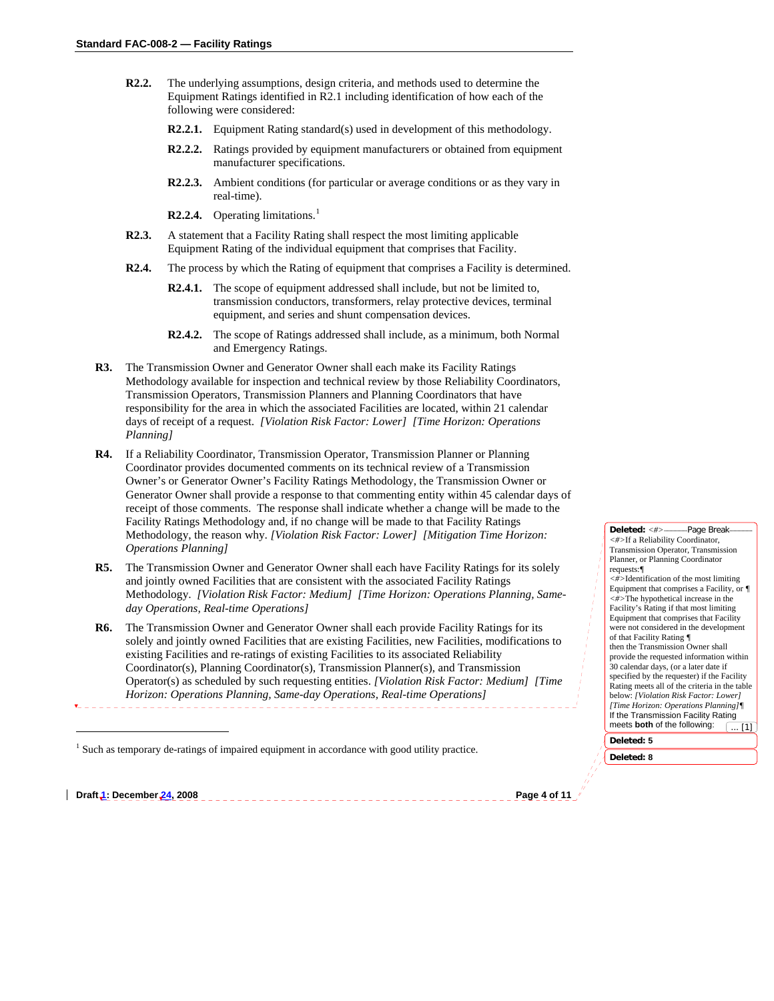- **R2.2.** The underlying assumptions, design criteria, and methods used to determine the Equipment Ratings identified in R2.1 including identification of how each of the following were considered:
	- **R2.2.1.** Equipment Rating standard(s) used in development of this methodology.
	- **R2.2.2.** Ratings provided by equipment manufacturers or obtained from equipment manufacturer specifications.
	- **R2.2.3.** Ambient conditions (for particular or average conditions or as they vary in real-time).
	- **R2.2.4.** Operating limitations.<sup>[1](#page-3-0)</sup>
- **R2.3.** A statement that a Facility Rating shall respect the most limiting applicable Equipment Rating of the individual equipment that comprises that Facility.
- **R2.4.** The process by which the Rating of equipment that comprises a Facility is determined.
	- **R2.4.1.** The scope of equipment addressed shall include, but not be limited to, transmission conductors, transformers, relay protective devices, terminal equipment, and series and shunt compensation devices.
	- **R2.4.2.** The scope of Ratings addressed shall include, as a minimum, both Normal and Emergency Ratings.
- **R3.** The Transmission Owner and Generator Owner shall each make its Facility Ratings Methodology available for inspection and technical review by those Reliability Coordinators, Transmission Operators, Transmission Planners and Planning Coordinators that have responsibility for the area in which the associated Facilities are located, within 21 calendar days of receipt of a request. *[Violation Risk Factor: Lower] [Time Horizon: Operations Planning]*
- **R4.** If a Reliability Coordinator, Transmission Operator, Transmission Planner or Planning Coordinator provides documented comments on its technical review of a Transmission Owner's or Generator Owner's Facility Ratings Methodology, the Transmission Owner or Generator Owner shall provide a response to that commenting entity within 45 calendar days of receipt of those comments. The response shall indicate whether a change will be made to the Facility Ratings Methodology and, if no change will be made to that Facility Ratings Methodology, the reason why. *[Violation Risk Factor: Lower] [Mitigation Time Horizon: Operations Planning]*
- **R5.** The Transmission Owner and Generator Owner shall each have Facility Ratings for its solely and jointly owned Facilities that are consistent with the associated Facility Ratings Methodology. *[Violation Risk Factor: Medium] [Time Horizon: Operations Planning, Sameday Operations, Real-time Operations]*
- **R6.** The Transmission Owner and Generator Owner shall each provide Facility Ratings for its solely and jointly owned Facilities that are existing Facilities, new Facilities, modifications to existing Facilities and re-ratings of existing Facilities to its associated Reliability Coordinator(s), Planning Coordinator(s), Transmission Planner(s), and Transmission Operator(s) as scheduled by such requesting entities. *[Violation Risk Factor: Medium] [Time Horizon: Operations Planning, Same-day Operations, Real-time Operations]*

<span id="page-3-0"></span>**Draft 1: December 24, 2008 Page 4 of 11** 

1

**Deleted:** *<#>* Page Break *<#>*If a Reliability Coordinator, Transmission Operator, Transmission Planner, or Planning Coordinator requests:*¶ <#>*Identification of the most limiting Equipment that comprises a Facility, or *¶ <#>*The hypothetical increase in the Facility's Rating if that most limiting Equipment that comprises that Facility were not considered in the development of that Facility Rating *¶* then the Transmission Owner shall provide the requested information within 30 calendar days, (or a later date if specified by the requester) if the Facility Rating meets all of the criteria in the table below: *[Violation Risk Factor: Lower] [Time Horizon: Operations Planning]¶* If the Transmission Facility Rating meets **both** of the following: **Deleted: 5** ... [1]

**Deleted: 8**

 $<sup>1</sup>$  Such as temporary de-ratings of impaired equipment in accordance with good utility practice.</sup>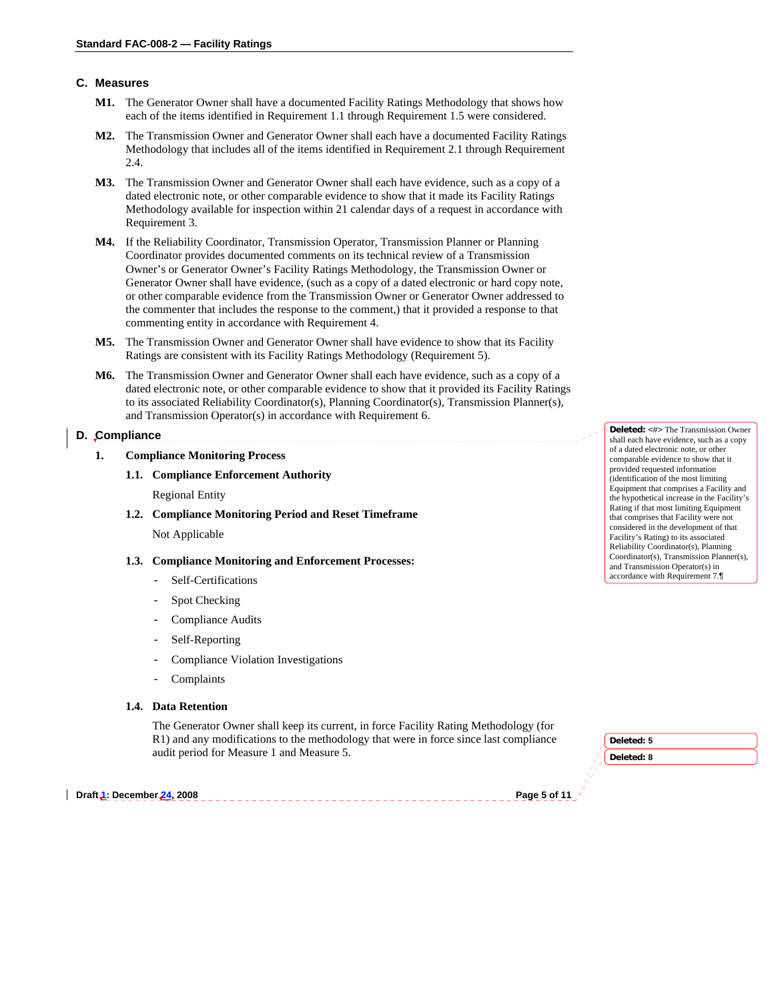## **C. Measures**

- **M1.** The Generator Owner shall have a documented Facility Ratings Methodology that shows how each of the items identified in Requirement 1.1 through Requirement 1.5 were considered.
- **M2.** The Transmission Owner and Generator Owner shall each have a documented Facility Ratings Methodology that includes all of the items identified in Requirement 2.1 through Requirement 2.4.
- **M3.** The Transmission Owner and Generator Owner shall each have evidence, such as a copy of a dated electronic note, or other comparable evidence to show that it made its Facility Ratings Methodology available for inspection within 21 calendar days of a request in accordance with Requirement 3.
- **M4.** If the Reliability Coordinator, Transmission Operator, Transmission Planner or Planning Coordinator provides documented comments on its technical review of a Transmission Owner's or Generator Owner's Facility Ratings Methodology, the Transmission Owner or Generator Owner shall have evidence, (such as a copy of a dated electronic or hard copy note, or other comparable evidence from the Transmission Owner or Generator Owner addressed to the commenter that includes the response to the comment,) that it provided a response to that commenting entity in accordance with Requirement 4.
- **M5.** The Transmission Owner and Generator Owner shall have evidence to show that its Facility Ratings are consistent with its Facility Ratings Methodology (Requirement 5).
- **M6.** The Transmission Owner and Generator Owner shall each have evidence, such as a copy of a dated electronic note, or other comparable evidence to show that it provided its Facility Ratings to its associated Reliability Coordinator(s), Planning Coordinator(s), Transmission Planner(s), and Transmission Operator(s) in accordance with Requirement 6.

**D. Compliance** 

**1. Compliance Monitoring Process** 

## **1.1. Compliance Enforcement Authority**

Regional Entity

**1.2. Compliance Monitoring Period and Reset Timeframe** Not Applicable

#### **1.3. Compliance Monitoring and Enforcement Processes:**

- Self-Certifications
- Spot Checking
- Compliance Audits
- Self-Reporting
- Compliance Violation Investigations
- **Complaints**

## **1.4. Data Retention**

The Generator Owner shall keep its current, in force Facility Rating Methodology (for R1) and any modifications to the methodology that were in force since last compliance audit period for Measure 1 and Measure 5.

**Draft 1: December 24, 2008** Page 5 of 11 **and 24, 2008** Page 5 of 11 **and 2018** Page 5 of 11

**Deleted: 5 Deleted: 8**

**Deleted:** <#> The Transmission Owner shall each have evidence, such as a copy of a dated electronic note, or other comparable evidence to show that it provided requested information (identification of the most limiting Equipment that comprises a Facility and the hypothetical increase in the Facility's Rating if that most limiting Equipment that comprises that Facility were not considered in the development of that Facility's Rating) to its associated Reliability Coordinator(s), Planning Coordinator(s), Transmission Planner(s), and Transmission Operator(s) in accordance with Requirement 7.¶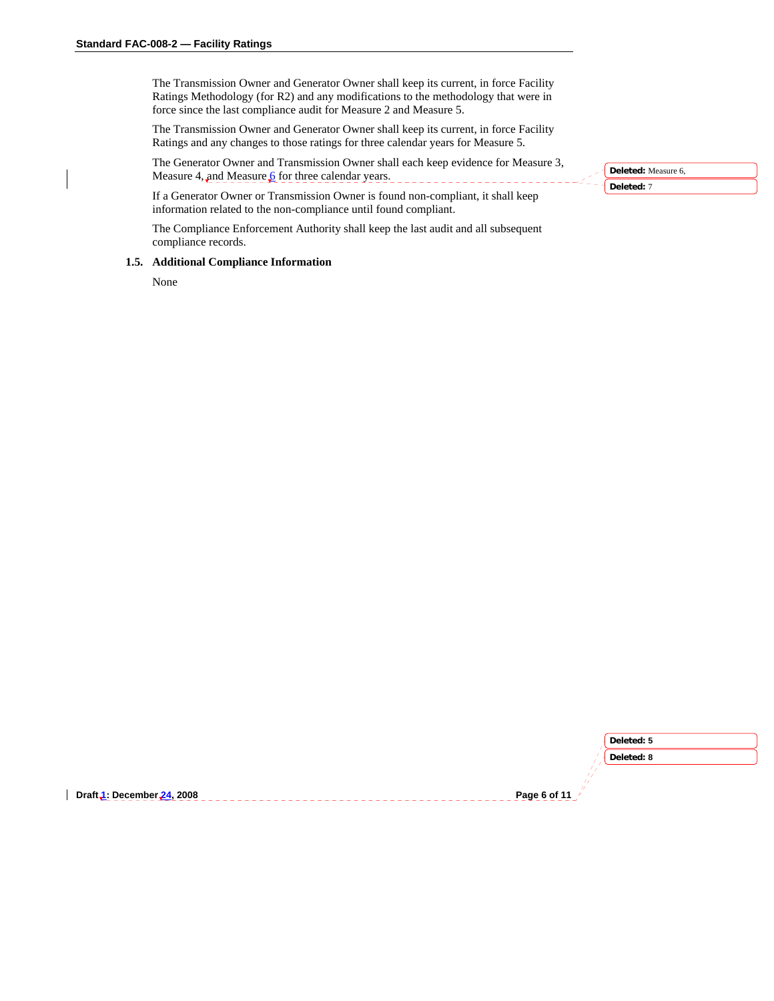The Transmission Owner and Generator Owner shall keep its current, in force Facility Ratings Methodology (for R2) and any modifications to the methodology that were in force since the last compliance audit for Measure 2 and Measure 5.

The Transmission Owner and Generator Owner shall keep its current, in force Facility Ratings and any changes to those ratings for three calendar years for Measure 5.

The Generator Owner and Transmission Owner shall each keep evidence for Measure 3, Measure 4, and Measure  $6$  for three calendar years.

If a Generator Owner or Transmission Owner is found non-compliant, it shall keep information related to the non-compliance until found compliant.

The Compliance Enforcement Authority shall keep the last audit and all subsequent compliance records.

#### **1.5. Additional Compliance Information**

None

| Deleted: Measure 6, |
|---------------------|
| releted: 7          |

|                            | Deleted: 5     |
|----------------------------|----------------|
|                            | Deleted: 8     |
|                            |                |
| Draft 1: December 24, 2008 | Page 6 of 11 / |
|                            |                |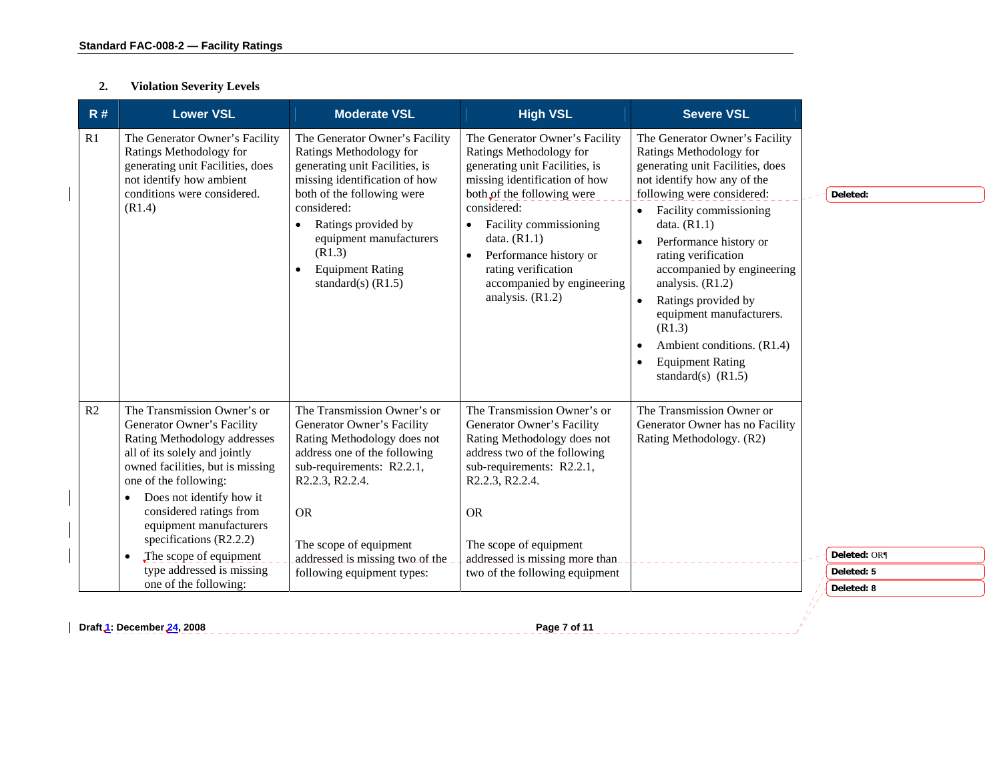#### **2.Violation Severity Levels**

| The Generator Owner's Facility<br>The Generator Owner's Facility<br>The Generator Owner's Facility<br>The Generator Owner's Facility<br>R1<br>Ratings Methodology for<br>Ratings Methodology for<br>Ratings Methodology for<br>Ratings Methodology for<br>generating unit Facilities, does<br>generating unit Facilities, is<br>generating unit Facilities, is<br>generating unit Facilities, does<br>not identify how any of the<br>not identify how ambient<br>missing identification of how<br>missing identification of how<br>conditions were considered.<br>both of the following were<br>both of the following were<br>following were considered:<br>(R1.4)<br>considered:<br>considered:<br>Facility commissioning<br>Facility commissioning<br>Ratings provided by<br>data. $(R1.1)$<br>$\bullet$<br>$\bullet$<br>equipment manufacturers<br>data. $(R1.1)$<br>Performance history or<br>$\bullet$<br>(R1.3)<br>Performance history or<br>rating verification<br>$\bullet$<br><b>Equipment Rating</b><br>rating verification<br>accompanied by engineering<br>٠<br>analysis. $(R1.2)$<br>standard(s) $(R1.5)$<br>accompanied by engineering<br>analysis. (R1.2)<br>Ratings provided by<br>$\bullet$<br>equipment manufacturers.<br>(R1.3)<br>Ambient conditions. (R1.4)<br>$\bullet$<br><b>Equipment Rating</b><br>$\bullet$<br>standard(s) $(R1.5)$<br>The Transmission Owner's or<br>The Transmission Owner's or<br>The Transmission Owner's or<br>The Transmission Owner or<br>R <sub>2</sub><br>Generator Owner's Facility<br>Generator Owner's Facility<br>Generator Owner's Facility<br>Generator Owner has no Facility<br>Rating Methodology addresses<br>Rating Methodology does not<br>Rating Methodology does not<br>Rating Methodology. (R2)<br>all of its solely and jointly<br>address one of the following<br>address two of the following<br>owned facilities, but is missing<br>sub-requirements: R2.2.1,<br>sub-requirements: R2.2.1,<br>R2.2.3, R2.2.4.<br>R2.2.3, R2.2.4.<br>one of the following:<br>Does not identify how it<br>٠<br>considered ratings from<br><b>OR</b><br><b>OR</b><br>equipment manufacturers<br>specifications $(R2.2.2)$<br>The scope of equipment<br>The scope of equipment<br>The scope of equipment<br>$\bullet$<br>addressed is missing two of the<br>addressed is missing more than.<br>type addressed is missing<br>following equipment types:<br>two of the following equipment<br>one of the following: |
|---------------------------------------------------------------------------------------------------------------------------------------------------------------------------------------------------------------------------------------------------------------------------------------------------------------------------------------------------------------------------------------------------------------------------------------------------------------------------------------------------------------------------------------------------------------------------------------------------------------------------------------------------------------------------------------------------------------------------------------------------------------------------------------------------------------------------------------------------------------------------------------------------------------------------------------------------------------------------------------------------------------------------------------------------------------------------------------------------------------------------------------------------------------------------------------------------------------------------------------------------------------------------------------------------------------------------------------------------------------------------------------------------------------------------------------------------------------------------------------------------------------------------------------------------------------------------------------------------------------------------------------------------------------------------------------------------------------------------------------------------------------------------------------------------------------------------------------------------------------------------------------------------------------------------------------------------------------------------------------------------------------------------------------------------------------------------------------------------------------------------------------------------------------------------------------------------------------------------------------------------------------------------------------------------------------------------------------------------------------------------------------------------------------------------------------------------------------------|
|                                                                                                                                                                                                                                                                                                                                                                                                                                                                                                                                                                                                                                                                                                                                                                                                                                                                                                                                                                                                                                                                                                                                                                                                                                                                                                                                                                                                                                                                                                                                                                                                                                                                                                                                                                                                                                                                                                                                                                                                                                                                                                                                                                                                                                                                                                                                                                                                                                                                     |
|                                                                                                                                                                                                                                                                                                                                                                                                                                                                                                                                                                                                                                                                                                                                                                                                                                                                                                                                                                                                                                                                                                                                                                                                                                                                                                                                                                                                                                                                                                                                                                                                                                                                                                                                                                                                                                                                                                                                                                                                                                                                                                                                                                                                                                                                                                                                                                                                                                                                     |

**Draft 1: December 24, 2008 Page 7 of 11 Page 7 of 11 Page 7 of 11 Page 7 of 11 Page 7 of 11 Page 7 of 11**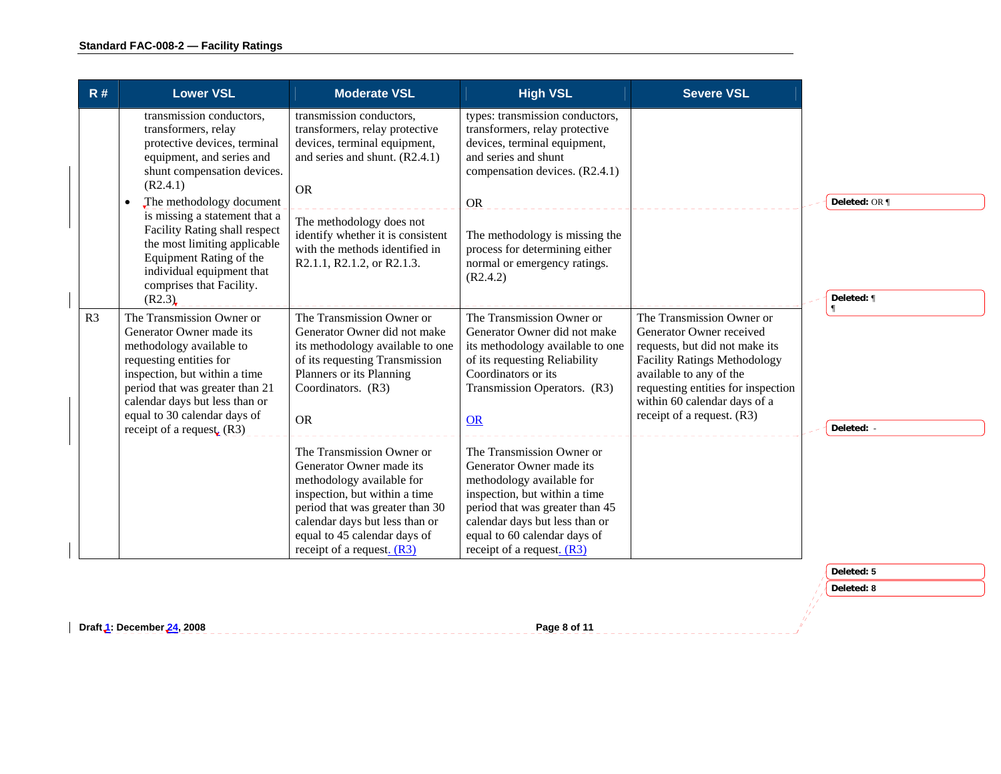| R#             | <b>Lower VSL</b>                                                                                                                                                                                                                                                                                                 | <b>Moderate VSL</b>                                                                                                                                                                                                                                                        | <b>High VSL</b>                                                                                                                                                                                                                                                              | <b>Severe VSL</b>                                                                                                                                                                                                                                             |               |
|----------------|------------------------------------------------------------------------------------------------------------------------------------------------------------------------------------------------------------------------------------------------------------------------------------------------------------------|----------------------------------------------------------------------------------------------------------------------------------------------------------------------------------------------------------------------------------------------------------------------------|------------------------------------------------------------------------------------------------------------------------------------------------------------------------------------------------------------------------------------------------------------------------------|---------------------------------------------------------------------------------------------------------------------------------------------------------------------------------------------------------------------------------------------------------------|---------------|
|                | transmission conductors,<br>transformers, relay<br>protective devices, terminal<br>equipment, and series and<br>shunt compensation devices.<br>(R2.4.1)<br>The methodology document<br>is missing a statement that a<br>Facility Rating shall respect<br>the most limiting applicable<br>Equipment Rating of the | transmission conductors,<br>transformers, relay protective<br>devices, terminal equipment,<br>and series and shunt. (R2.4.1)<br><b>OR</b><br>The methodology does not<br>identify whether it is consistent<br>with the methods identified in<br>R2.1.1, R2.1.2, or R2.1.3. | types: transmission conductors,<br>transformers, relay protective<br>devices, terminal equipment,<br>and series and shunt<br>compensation devices. (R2.4.1)<br><b>OR</b><br>The methodology is missing the<br>process for determining either<br>normal or emergency ratings. |                                                                                                                                                                                                                                                               | Deleted: OR ¶ |
|                | individual equipment that<br>comprises that Facility.<br>(R2.3)                                                                                                                                                                                                                                                  |                                                                                                                                                                                                                                                                            | (R2.4.2)                                                                                                                                                                                                                                                                     |                                                                                                                                                                                                                                                               | Deleted: ¶    |
| R <sub>3</sub> | The Transmission Owner or<br>Generator Owner made its<br>methodology available to<br>requesting entities for<br>inspection, but within a time<br>period that was greater than 21<br>calendar days but less than or<br>equal to 30 calendar days of<br>receipt of a request $(R3)$                                | The Transmission Owner or<br>Generator Owner did not make<br>its methodology available to one<br>of its requesting Transmission<br>Planners or its Planning<br>Coordinators. (R3)<br><b>OR</b>                                                                             | The Transmission Owner or<br>Generator Owner did not make<br>its methodology available to one<br>of its requesting Reliability<br>Coordinators or its<br>Transmission Operators. (R3)<br>OR                                                                                  | The Transmission Owner or<br>Generator Owner received<br>requests, but did not make its<br><b>Facility Ratings Methodology</b><br>available to any of the<br>requesting entities for inspection<br>within 60 calendar days of a<br>receipt of a request. (R3) | Deleted: -    |
|                |                                                                                                                                                                                                                                                                                                                  | The Transmission Owner or<br>Generator Owner made its<br>methodology available for<br>inspection, but within a time<br>period that was greater than 30<br>calendar days but less than or<br>equal to 45 calendar days of<br>receipt of a request. $(R3)$                   | The Transmission Owner or<br>Generator Owner made its<br>methodology available for<br>inspection, but within a time<br>period that was greater than 45<br>calendar days but less than or<br>equal to 60 calendar days of<br>receipt of a request. $(R3)$                     |                                                                                                                                                                                                                                                               |               |
|                |                                                                                                                                                                                                                                                                                                                  |                                                                                                                                                                                                                                                                            |                                                                                                                                                                                                                                                                              |                                                                                                                                                                                                                                                               | Deleted: 5    |
|                |                                                                                                                                                                                                                                                                                                                  |                                                                                                                                                                                                                                                                            |                                                                                                                                                                                                                                                                              |                                                                                                                                                                                                                                                               | Deleted: 8    |

erika<br>11 Ĥ

**Draft 1: December 24, 2008 Page 2008 Accord 24, 2008 Page 8 of 11 Accord 2014**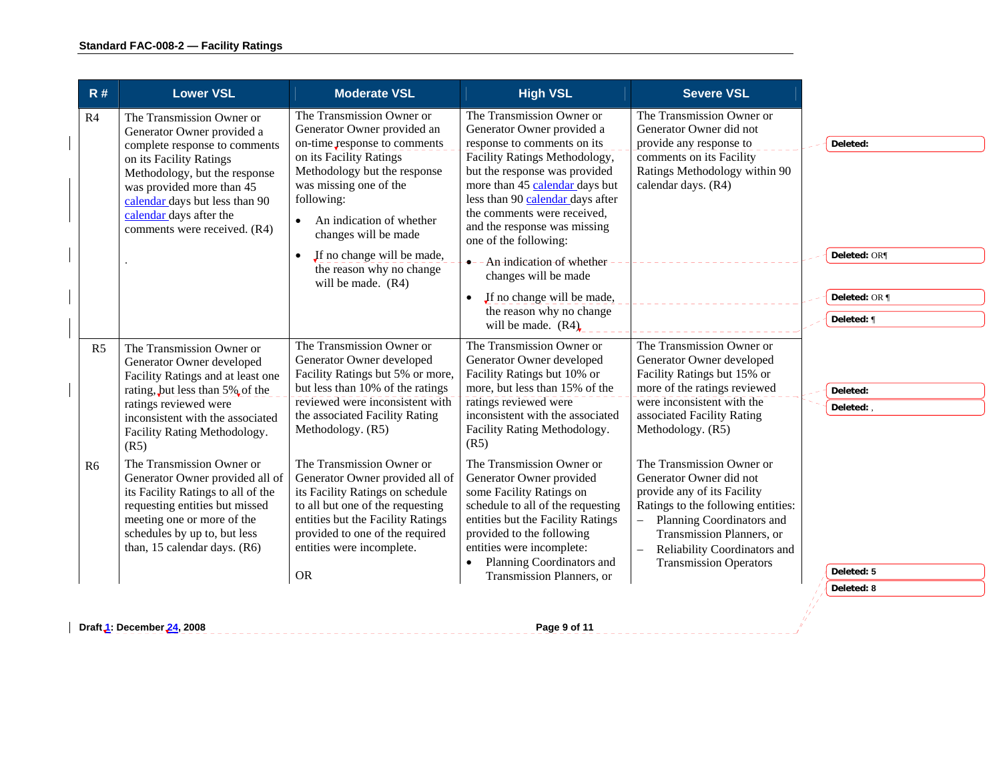| R#             | <b>Lower VSL</b>                                                                                                                                                                                                                   | <b>Moderate VSL</b>                                                                                                                                                                                                                       | <b>High VSL</b>                                                                                                                                                                                                              | <b>Severe VSL</b>                                                                                                                                                                                                                    |               |
|----------------|------------------------------------------------------------------------------------------------------------------------------------------------------------------------------------------------------------------------------------|-------------------------------------------------------------------------------------------------------------------------------------------------------------------------------------------------------------------------------------------|------------------------------------------------------------------------------------------------------------------------------------------------------------------------------------------------------------------------------|--------------------------------------------------------------------------------------------------------------------------------------------------------------------------------------------------------------------------------------|---------------|
| R <sub>4</sub> | The Transmission Owner or<br>Generator Owner provided a<br>complete response to comments                                                                                                                                           | The Transmission Owner or<br>Generator Owner provided an<br>on-time response to comments                                                                                                                                                  | The Transmission Owner or<br>Generator Owner provided a<br>response to comments on its                                                                                                                                       | The Transmission Owner or<br>Generator Owner did not<br>provide any response to                                                                                                                                                      | Deleted:      |
|                | on its Facility Ratings<br>Methodology, but the response<br>was provided more than 45<br>calendar days but less than 90<br>calendar days after the<br>comments were received. (R4)                                                 | on its Facility Ratings<br>Methodology but the response<br>was missing one of the<br>following:<br>An indication of whether<br>$\bullet$<br>changes will be made                                                                          | Facility Ratings Methodology,<br>but the response was provided<br>more than 45 calendar days but<br>less than 90 calendar days after<br>the comments were received,<br>and the response was missing<br>one of the following: | comments on its Facility<br>Ratings Methodology within 90<br>calendar days. (R4)                                                                                                                                                     |               |
|                |                                                                                                                                                                                                                                    | If no change will be made,<br>the reason why no change<br>will be made. (R4)                                                                                                                                                              | $\bullet$ - - An-indication of whether<br>changes will be made                                                                                                                                                               |                                                                                                                                                                                                                                      | Deleted: OR¶  |
|                |                                                                                                                                                                                                                                    |                                                                                                                                                                                                                                           | If no change will be made,<br>$\bullet$                                                                                                                                                                                      |                                                                                                                                                                                                                                      | Deleted: OR ¶ |
|                |                                                                                                                                                                                                                                    |                                                                                                                                                                                                                                           | the reason why no change<br>will be made. $(R4)$                                                                                                                                                                             |                                                                                                                                                                                                                                      | Deleted: ¶    |
| R <sub>5</sub> | The Transmission Owner or<br>Generator Owner developed<br>Facility Ratings and at least one<br>rating, but less than 5% of the                                                                                                     | The Transmission Owner or<br>Generator Owner developed<br>Facility Ratings but 5% or more,<br>but less than 10% of the ratings                                                                                                            | The Transmission Owner or<br>Generator Owner developed<br>Facility Ratings but 10% or<br>more, but less than 15% of the                                                                                                      | The Transmission Owner or<br>Generator Owner developed<br>Facility Ratings but 15% or<br>more of the ratings reviewed                                                                                                                | Deleted:      |
|                | ratings reviewed were<br>inconsistent with the associated<br>Facility Rating Methodology.<br>(R5)                                                                                                                                  | reviewed were inconsistent with<br>the associated Facility Rating<br>Methodology. (R5)                                                                                                                                                    | ratings reviewed were<br>inconsistent with the associated<br>Facility Rating Methodology.<br>(R5)                                                                                                                            | were inconsistent with the<br>associated Facility Rating<br>Methodology. (R5)                                                                                                                                                        | Deleted:      |
| R <sub>6</sub> | The Transmission Owner or<br>Generator Owner provided all of<br>its Facility Ratings to all of the<br>requesting entities but missed<br>meeting one or more of the<br>schedules by up to, but less<br>than, 15 calendar days. (R6) | The Transmission Owner or<br>Generator Owner provided all of<br>its Facility Ratings on schedule<br>to all but one of the requesting<br>entities but the Facility Ratings<br>provided to one of the required<br>entities were incomplete. | The Transmission Owner or<br>Generator Owner provided<br>some Facility Ratings on<br>schedule to all of the requesting<br>entities but the Facility Ratings<br>provided to the following<br>entities were incomplete:        | The Transmission Owner or<br>Generator Owner did not<br>provide any of its Facility<br>Ratings to the following entities:<br>Planning Coordinators and<br>$\equiv$<br>Transmission Planners, or<br>Reliability Coordinators and<br>L |               |
|                |                                                                                                                                                                                                                                    | <b>OR</b>                                                                                                                                                                                                                                 | Planning Coordinators and<br>Transmission Planners, or                                                                                                                                                                       | <b>Transmission Operators</b>                                                                                                                                                                                                        | Deleted: 5    |
|                |                                                                                                                                                                                                                                    |                                                                                                                                                                                                                                           |                                                                                                                                                                                                                              |                                                                                                                                                                                                                                      | Deleted: 8    |
|                | Draft 1: December 24, 2008                                                                                                                                                                                                         |                                                                                                                                                                                                                                           | Page 9 of 11                                                                                                                                                                                                                 |                                                                                                                                                                                                                                      |               |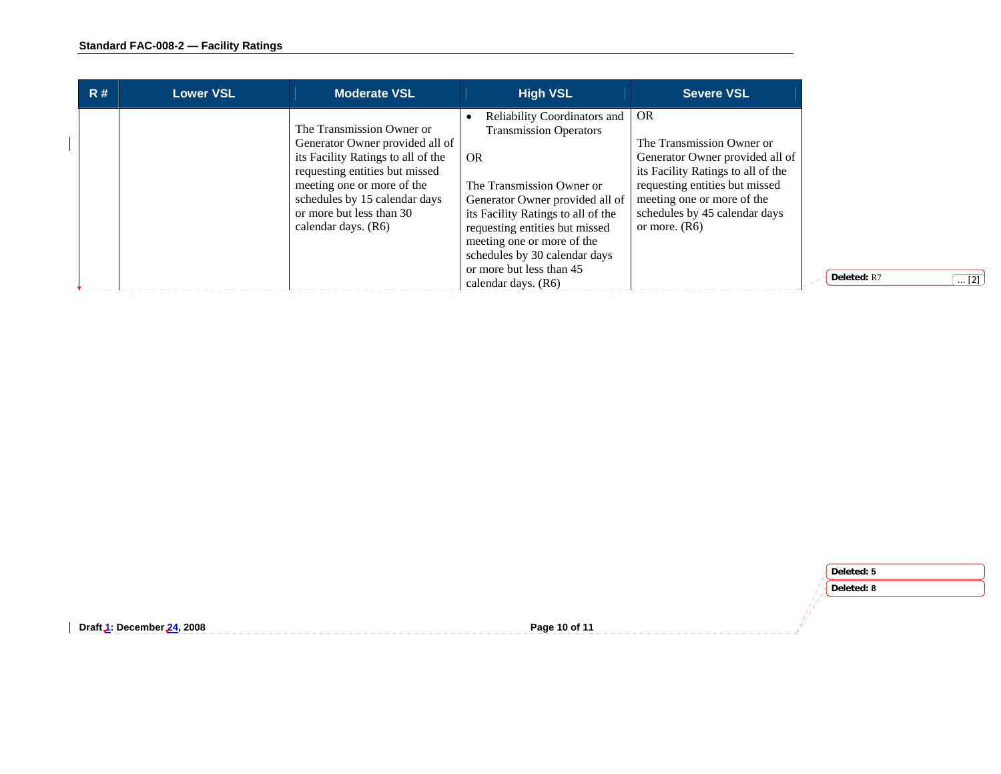| R# | <b>Lower VSL</b> | <b>Moderate VSL</b>                                                                                                                                                                                                                                    | <b>High VSL</b>                                                                                                                                                                                                                                                                                                                | <b>Severe VSL</b>                                                                                                                                                                                                                   |
|----|------------------|--------------------------------------------------------------------------------------------------------------------------------------------------------------------------------------------------------------------------------------------------------|--------------------------------------------------------------------------------------------------------------------------------------------------------------------------------------------------------------------------------------------------------------------------------------------------------------------------------|-------------------------------------------------------------------------------------------------------------------------------------------------------------------------------------------------------------------------------------|
|    |                  | The Transmission Owner or<br>Generator Owner provided all of<br>its Facility Ratings to all of the<br>requesting entities but missed<br>meeting one or more of the<br>schedules by 15 calendar days<br>or more but less than 30<br>calendar days. (R6) | Reliability Coordinators and<br><b>Transmission Operators</b><br>OR.<br>The Transmission Owner or<br>Generator Owner provided all of<br>its Facility Ratings to all of the<br>requesting entities but missed<br>meeting one or more of the<br>schedules by 30 calendar days<br>or more but less than 45<br>calendar days. (R6) | <b>OR</b><br>The Transmission Owner or<br>Generator Owner provided all of<br>its Facility Ratings to all of the<br>requesting entities but missed<br>meeting one or more of the<br>schedules by 45 calendar days<br>or more. $(R6)$ |

|                                                         |               | Deleted: 5 |
|---------------------------------------------------------|---------------|------------|
|                                                         |               | Deleted: 8 |
|                                                         |               |            |
| Draft <mark>1</mark> : December <mark>24, 2008</mark> , | Page 10 of 11 |            |
|                                                         |               |            |

 $\boxed{... [2]}$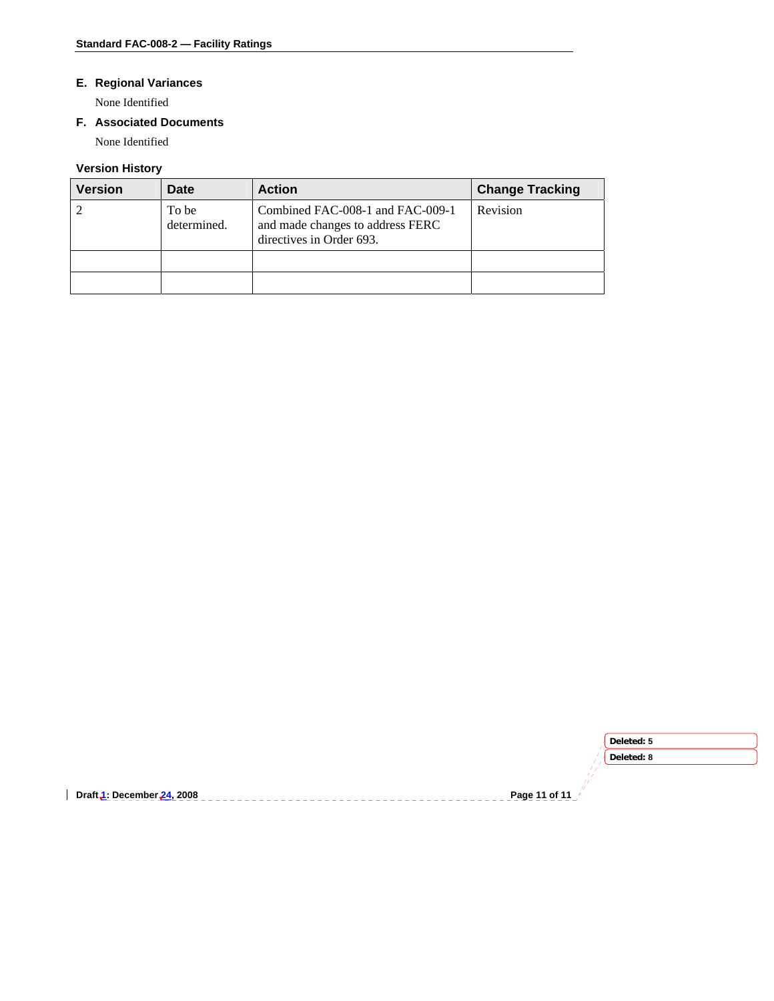# **E. Regional Variances**

None Identified

# **F. Associated Documents**

None Identified

# **Version History**

| <b>Version</b> | Date                 | <b>Action</b>                                                                                    | <b>Change Tracking</b> |
|----------------|----------------------|--------------------------------------------------------------------------------------------------|------------------------|
|                | To be<br>determined. | Combined FAC-008-1 and FAC-009-1<br>and made changes to address FERC<br>directives in Order 693. | Revision               |
|                |                      |                                                                                                  |                        |
|                |                      |                                                                                                  |                        |